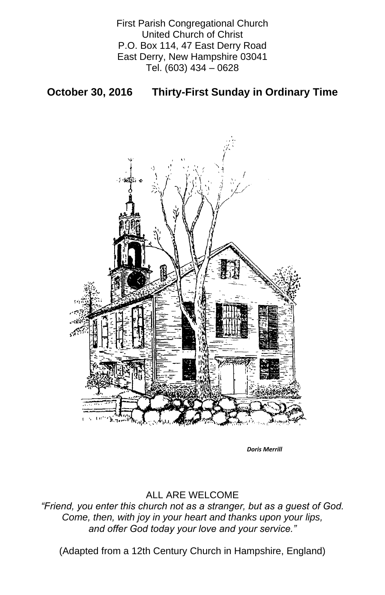First Parish Congregational Church United Church of Christ P.O. Box 114, 47 East Derry Road East Derry, New Hampshire 03041 Tel. (603) 434 – 0628

## **October 30, 2016 Thirty-First Sunday in Ordinary Time**



## ALL ARE WELCOME

*"Friend, you enter this church not as a stranger, but as a guest of God. Come, then, with joy in your heart and thanks upon your lips, and offer God today your love and your service."*

(Adapted from a 12th Century Church in Hampshire, England)

*Doris Merrill*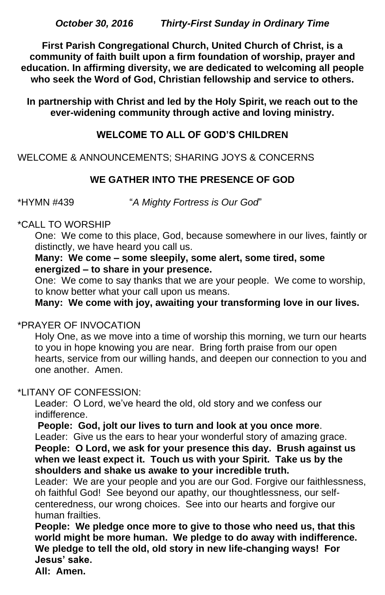*October 30, 2016 Thirty-First Sunday in Ordinary Time*

**First Parish Congregational Church, United Church of Christ, is a community of faith built upon a firm foundation of worship, prayer and education. In affirming diversity, we are dedicated to welcoming all people who seek the Word of God, Christian fellowship and service to others.**

**In partnership with Christ and led by the Holy Spirit, we reach out to the ever-widening community through active and loving ministry.**

## **WELCOME TO ALL OF GOD'S CHILDREN**

WELCOME & ANNOUNCEMENTS; SHARING JOYS & CONCERNS

## **WE GATHER INTO THE PRESENCE OF GOD**

\*HYMN #439 "*A Mighty Fortress is Our God*"

### \*CALL TO WORSHIP

One: We come to this place, God, because somewhere in our lives, faintly or distinctly, we have heard you call us.

**Many: We come – some sleepily, some alert, some tired, some energized – to share in your presence.**

One: We come to say thanks that we are your people. We come to worship, to know better what your call upon us means.

**Many: We come with joy, awaiting your transforming love in our lives.**

#### \*PRAYER OF INVOCATION

Holy One, as we move into a time of worship this morning, we turn our hearts to you in hope knowing you are near. Bring forth praise from our open hearts, service from our willing hands, and deepen our connection to you and one another. Amen.

#### \*LITANY OF CONFESSION:

Leader: O Lord, we've heard the old, old story and we confess our indifference.

### **People: God, jolt our lives to turn and look at you once more**.

Leader: Give us the ears to hear your wonderful story of amazing grace.

**People: O Lord, we ask for your presence this day. Brush against us when we least expect it. Touch us with your Spirit. Take us by the shoulders and shake us awake to your incredible truth.** Leader: We are your people and you are our God. Forgive our faithlessness, oh faithful God! See beyond our apathy, our thoughtlessness, our selfcenteredness, our wrong choices. See into our hearts and forgive our human frailties.

**People: We pledge once more to give to those who need us, that this world might be more human. We pledge to do away with indifference. We pledge to tell the old, old story in new life-changing ways! For Jesus' sake.** 

**All: Amen.**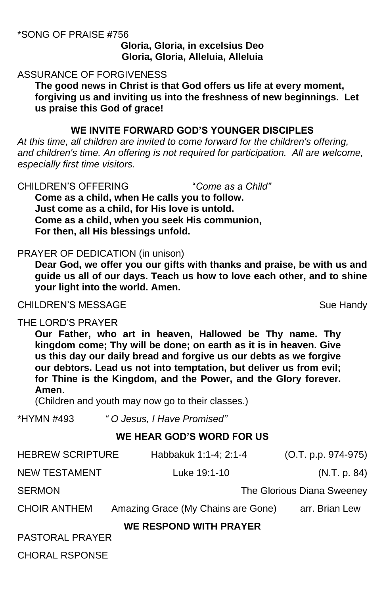### \*SONG OF PRAISE **#**756

**Gloria, Gloria, in excelsius Deo Gloria, Gloria, Alleluia, Alleluia**

## ASSURANCE OF FORGIVENESS

**The good news in Christ is that God offers us life at every moment, forgiving us and inviting us into the freshness of new beginnings. Let us praise this God of grace!**

## **WE INVITE FORWARD GOD'S YOUNGER DISCIPLES**

*At this time, all children are invited to come forward for the children's offering,*  and children's time. An offering is not required for participation. All are welcome, *especially first time visitors.*

CHILDREN'S OFFERING "*Come as a Child"*

**Come as a child, when He calls you to follow. Just come as a child, for His love is untold. Come as a child, when you seek His communion, For then, all His blessings unfold.**

## PRAYER OF DEDICATION (in unison)

**Dear God, we offer you our gifts with thanks and praise, be with us and guide us all of our days. Teach us how to love each other, and to shine your light into the world. Amen.**

## CHILDREN'S MESSAGE Sue Handy

# THE LORD'S PRAYER

**Our Father, who art in heaven, Hallowed be Thy name. Thy kingdom come; Thy will be done; on earth as it is in heaven. Give us this day our daily bread and forgive us our debts as we forgive our debtors. Lead us not into temptation, but deliver us from evil; for Thine is the Kingdom, and the Power, and the Glory forever. Amen**.

(Children and youth may now go to their classes.)

\*HYMN #493 *" O Jesus, I Have Promised"*

#### **WE HEAR GOD'S WORD FOR US**

HEBREW SCRIPTURE Habbakuk 1:1-4; 2:1-4 (O.T. p.p. 974-975) NEW TESTAMENT Luke 19:1-10 (N.T. p. 84) SERMON SERMON The Glorious Diana Sweeney CHOIR ANTHEM Amazing Grace (My Chains are Gone) arr. Brian Lew **WE RESPOND WITH PRAYER** PASTORAL PRAYER

CHORAL RSPONSE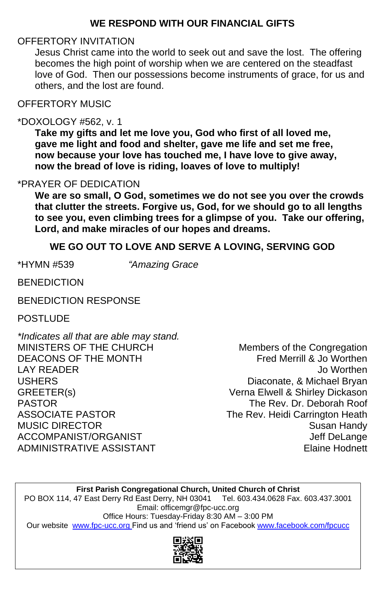## **WE RESPOND WITH OUR FINANCIAL GIFTS**

## OFFERTORY INVITATION

Jesus Christ came into the world to seek out and save the lost. The offering becomes the high point of worship when we are centered on the steadfast love of God. Then our possessions become instruments of grace, for us and others, and the lost are found.

## OFFERTORY MUSIC

### \*DOXOLOGY #562, v. 1

**Take my gifts and let me love you, God who first of all loved me, gave me light and food and shelter, gave me life and set me free, now because your love has touched me, I have love to give away, now the bread of love is riding, loaves of love to multiply!**

*\*Indicates all that are able may stand.* MINISTERS OF THE CHURCH Members of the Congregation DEACONS OF THE MONTH Fred Merrill & Jo Worthen LAY READER Jo Worthen USHERS **Diaconate, & Michael Bryan** GREETER(s) Verna Elwell & Shirley Dickason PASTOR The Rev. Dr. Deborah Roof ASSOCIATE PASTOR The Rev. Heidi Carrington Heath MUSIC DIRECTOR Susan Handy

ACCOMPANIST/ORGANIST Version of the set of the set of the set of the set of the set of the set of the set of the set of the set of the set of the set of the set of the set of the set of the set of the set of the set of the

# ADMINISTRATIVE ASSISTANT **Elaine Hodnett**

## \*PRAYER OF DEDICATION

**We are so small, O God, sometimes we do not see you over the crowds that clutter the streets. Forgive us, God, for we should go to all lengths to see you, even climbing trees for a glimpse of you. Take our offering, Lord, and make miracles of our hopes and dreams.** 

## **WE GO OUT TO LOVE AND SERVE A LOVING, SERVING GOD**

\*HYMN #539 *"Amazing Grace*

**BENEDICTION** 

BENEDICTION RESPONSE

**POSTLUDE** 

#### **First Parish Congregational Church, United Church of Christ** PO BOX 114, 47 East Derry Rd East Derry, NH 03041 Tel. 603.434.0628 Fax. 603.437.3001 Email: officemgr@fpc-ucc.org Office Hours: Tuesday-Friday 8:30 AM – 3:00 PM Our website [www.fpc-ucc.org](http://www.fpc-ucc.org/) Find us and 'friend us' on Facebook [www.facebook.com/fpcucc](http://www.facebook.com/fpcucc)